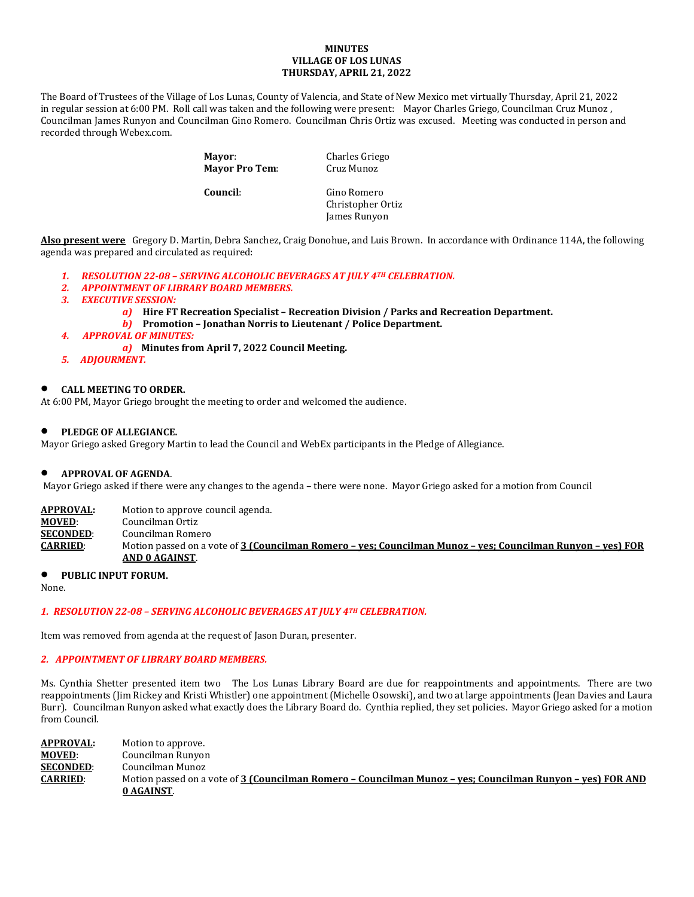#### **MINUTES VILLAGE OF LOS LUNAS THURSDAY, APRIL 21, 2022**

The Board of Trustees of the Village of Los Lunas, County of Valencia, and State of New Mexico met virtually Thursday, April 21, 2022 in regular session at 6:00 PM. Roll call was taken and the following were present: Mayor Charles Griego, Councilman Cruz Munoz , Councilman James Runyon and Councilman Gino Romero. Councilman Chris Ortiz was excused. Meeting was conducted in person and recorded through Webex.com.

> **Mayor:** Charles Griego<br> **Mayor Pro Tem:** Cruz Munoz **Mayor Pro Tem:**

**Council**: Gino Romero Christopher Ortiz James Runyon

**Also present were** Gregory D. Martin, Debra Sanchez, Craig Donohue, and Luis Brown. In accordance with Ordinance 114A, the following agenda was prepared and circulated as required:

- *1. RESOLUTION 22-08 – SERVING ALCOHOLIC BEVERAGES AT JULY 4TH CELEBRATION.*
- *2. APPOINTMENT OF LIBRARY BOARD MEMBERS.*
- *3. EXECUTIVE SESSION:*
	- *a)* **Hire FT Recreation Specialist – Recreation Division / Parks and Recreation Department.**
	- *b)* **Promotion – Jonathan Norris to Lieutenant / Police Department.**
- *4. APPROVAL OF MINUTES:*
	- *a)* **Minutes from April 7, 2022 Council Meeting.**
- *5. ADJOURMENT.*

# • **CALL MEETING TO ORDER.**

At 6:00 PM, Mayor Griego brought the meeting to order and welcomed the audience.

## • **PLEDGE OF ALLEGIANCE.**

Mayor Griego asked Gregory Martin to lead the Council and WebEx participants in the Pledge of Allegiance.

## • **APPROVAL OF AGENDA**.

Mayor Griego asked if there were any changes to the agenda – there were none. Mayor Griego asked for a motion from Council

**APPROVAL:** Motion to approve council agenda.<br>**MOVED**: Councilman Ortiz **MOVED:** Councilman Ortiz<br>**SECONDED:** Councilman Rome **SECONDED:** Councilman Romero<br>**CARRIED:** Motion passed on a v **CARRIED**: Motion passed on a vote of **3 (Councilman Romero – yes; Councilman Munoz – yes; Councilman Runyon – yes) FOR AND 0 AGAINST**.

## • **PUBLIC INPUT FORUM.**

None.

## *1. RESOLUTION 22-08 – SERVING ALCOHOLIC BEVERAGES AT JULY 4TH CELEBRATION.*

Item was removed from agenda at the request of Jason Duran, presenter.

## *2. APPOINTMENT OF LIBRARY BOARD MEMBERS.*

Ms. Cynthia Shetter presented item two The Los Lunas Library Board are due for reappointments and appointments. There are two reappointments (Jim Rickey and Kristi Whistler) one appointment (Michelle Osowski), and two at large appointments (Jean Davies and Laura Burr). Councilman Runyon asked what exactly does the Library Board do. Cynthia replied, they set policies. Mayor Griego asked for a motion from Council.

**APPROVAL:** Motion to approve.<br>**MOVED**: Councilman Runyor **MOVED:** Councilman Runyon<br>**SECONDED:** Councilman Munoz **SECONDED:** Councilman Munoz<br>**CARRIED:** Motion passed on a **CARRIED**: Motion passed on a vote of **3 (Councilman Romero – Councilman Munoz – yes; Councilman Runyon – yes) FOR AND 0 AGAINST**.